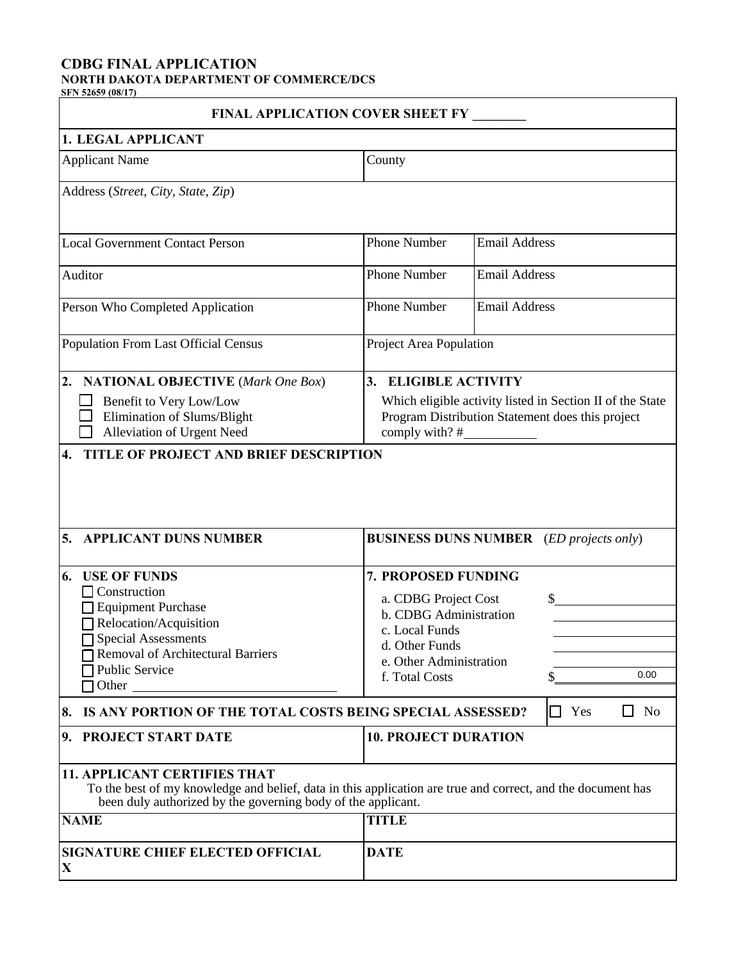# **CDBG FINAL APPLICATION**

**NORTH DAKOTA DEPARTMENT OF COMMERCE/DCS SFN 52659 (08/17)**

| <b>FINAL APPLICATION COVER SHEET FY</b>                                                                                                                                                        |                                                                                                                                                           |  |  |
|------------------------------------------------------------------------------------------------------------------------------------------------------------------------------------------------|-----------------------------------------------------------------------------------------------------------------------------------------------------------|--|--|
| 1. LEGAL APPLICANT                                                                                                                                                                             |                                                                                                                                                           |  |  |
| <b>Applicant Name</b>                                                                                                                                                                          | County                                                                                                                                                    |  |  |
| Address (Street, City, State, Zip)                                                                                                                                                             |                                                                                                                                                           |  |  |
| <b>Local Government Contact Person</b>                                                                                                                                                         | Phone Number<br><b>Email Address</b>                                                                                                                      |  |  |
| Auditor                                                                                                                                                                                        | <b>Phone Number</b><br><b>Email Address</b>                                                                                                               |  |  |
| Person Who Completed Application                                                                                                                                                               | <b>Email Address</b><br><b>Phone Number</b>                                                                                                               |  |  |
| Population From Last Official Census                                                                                                                                                           | Project Area Population                                                                                                                                   |  |  |
| $\overline{2}$ .<br><b>NATIONAL OBJECTIVE</b> (Mark One Box)<br>Benefit to Very Low/Low<br>Elimination of Slums/Blight<br>Alleviation of Urgent Need<br>TITLE OF PROJECT AND BRIEF DESCRIPTION | 3. ELIGIBLE ACTIVITY<br>Which eligible activity listed in Section II of the State<br>Program Distribution Statement does this project<br>comply with? $#$ |  |  |
| <b>APPLICANT DUNS NUMBER</b><br>5.                                                                                                                                                             | <b>BUSINESS DUNS NUMBER</b> (ED projects only)                                                                                                            |  |  |
| 6.<br><b>USE OF FUNDS</b>                                                                                                                                                                      | 7. PROPOSED FUNDING                                                                                                                                       |  |  |
| $\Box$ Construction<br>□ Equipment Purchase<br>Relocation/Acquisition<br><b>Special Assessments</b><br><b>Removal of Architectural Barriers</b><br>Public Service<br>$\Box$ Other              | a. CDBG Project Cost<br>\$<br>b. CDBG Administration<br>c. Local Funds<br>d. Other Funds<br>e. Other Administration<br>0.00<br>f. Total Costs<br>S        |  |  |
| N <sub>o</sub><br>IS ANY PORTION OF THE TOTAL COSTS BEING SPECIAL ASSESSED?<br>Yes<br>8.<br>ΙI                                                                                                 |                                                                                                                                                           |  |  |
| 9. PROJECT START DATE                                                                                                                                                                          | <b>10. PROJECT DURATION</b>                                                                                                                               |  |  |
| <b>11. APPLICANT CERTIFIES THAT</b><br>been duly authorized by the governing body of the applicant.                                                                                            | To the best of my knowledge and belief, data in this application are true and correct, and the document has                                               |  |  |
| <b>NAME</b>                                                                                                                                                                                    | <b>TITLE</b>                                                                                                                                              |  |  |
| <b>SIGNATURE CHIEF ELECTED OFFICIAL</b><br>$\mathbf X$                                                                                                                                         | <b>DATE</b>                                                                                                                                               |  |  |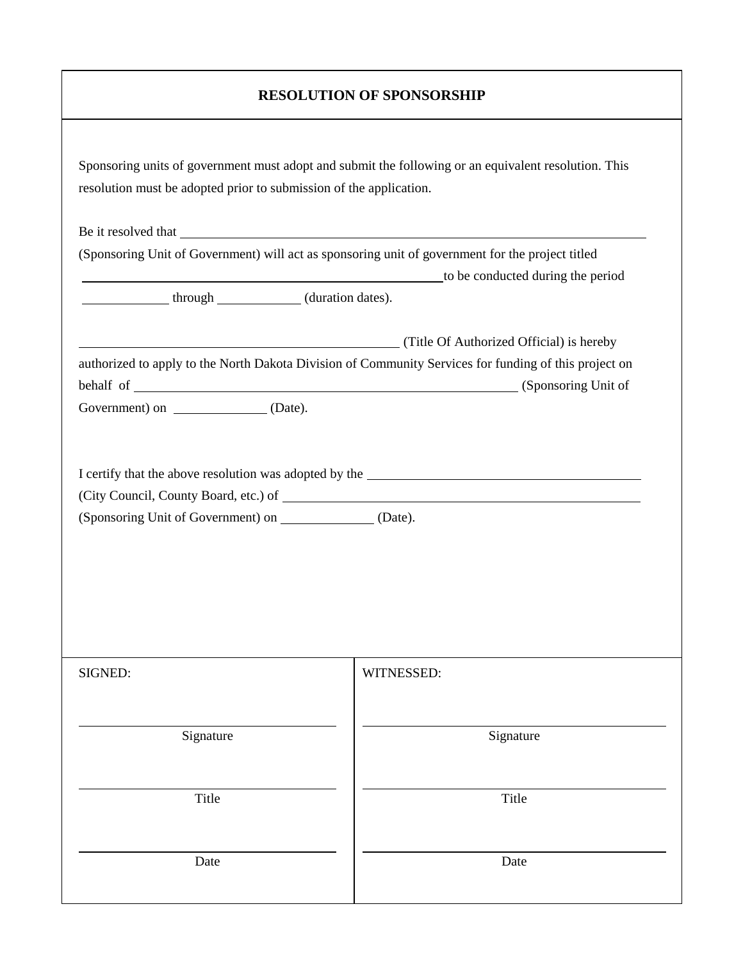## **RESOLUTION OF SPONSORSHIP**

|                                                            | (Sponsoring Unit of Government) will act as sponsoring unit of government for the project titled      |
|------------------------------------------------------------|-------------------------------------------------------------------------------------------------------|
|                                                            | to be conducted during the period                                                                     |
| through ______________ (duration dates).                   |                                                                                                       |
|                                                            | (Title Of Authorized Official) is hereby                                                              |
|                                                            | authorized to apply to the North Dakota Division of Community Services for funding of this project on |
|                                                            |                                                                                                       |
| Government) on ________________ (Date).                    |                                                                                                       |
|                                                            |                                                                                                       |
|                                                            |                                                                                                       |
| (Sponsoring Unit of Government) on _______________ (Date). |                                                                                                       |
|                                                            |                                                                                                       |
|                                                            |                                                                                                       |
|                                                            |                                                                                                       |
|                                                            |                                                                                                       |
|                                                            |                                                                                                       |
|                                                            |                                                                                                       |
|                                                            | WITNESSED:                                                                                            |
| SIGNED:                                                    |                                                                                                       |
| Signature                                                  | Signature                                                                                             |
|                                                            |                                                                                                       |
| Title                                                      | Title                                                                                                 |
|                                                            |                                                                                                       |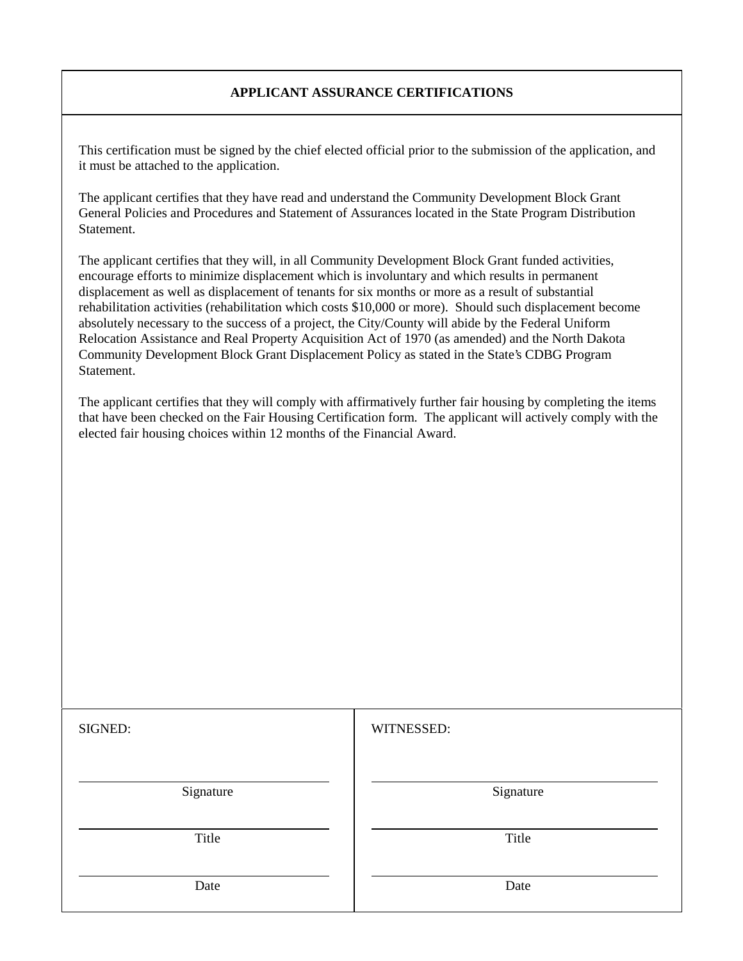### **APPLICANT ASSURANCE CERTIFICATIONS**

This certification must be signed by the chief elected official prior to the submission of the application, and it must be attached to the application.

The applicant certifies that they have read and understand the Community Development Block Grant General Policies and Procedures and Statement of Assurances located in the State Program Distribution Statement.

The applicant certifies that they will, in all Community Development Block Grant funded activities, encourage efforts to minimize displacement which is involuntary and which results in permanent displacement as well as displacement of tenants for six months or more as a result of substantial rehabilitation activities (rehabilitation which costs \$10,000 or more). Should such displacement become absolutely necessary to the success of a project, the City/County will abide by the Federal Uniform Relocation Assistance and Real Property Acquisition Act of 1970 (as amended) and the North Dakota Community Development Block Grant Displacement Policy as stated in the State's CDBG Program Statement.

The applicant certifies that they will comply with affirmatively further fair housing by completing the items that have been checked on the Fair Housing Certification form. The applicant will actively comply with the elected fair housing choices within 12 months of the Financial Award.

| SIGNED:   | WITNESSED: |
|-----------|------------|
| Signature | Signature  |
| Title     | Title      |
| Date      | Date       |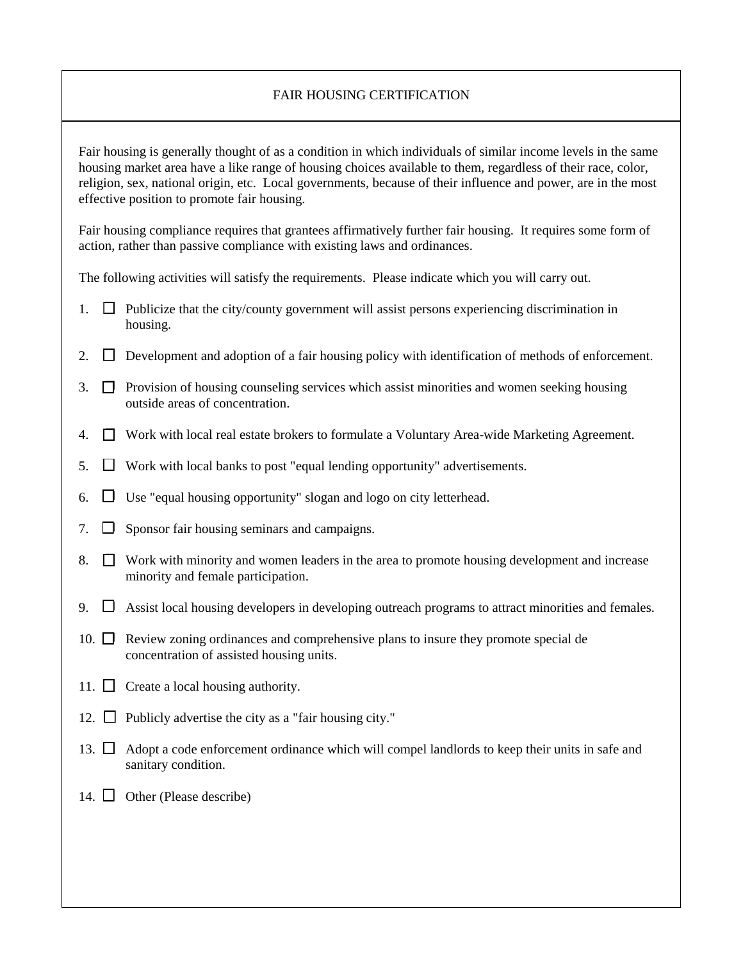#### FAIR HOUSING CERTIFICATION

Fair housing is generally thought of as a condition in which individuals of similar income levels in the same housing market area have a like range of housing choices available to them, regardless of their race, color, religion, sex, national origin, etc. Local governments, because of their influence and power, are in the most effective position to promote fair housing.

Fair housing compliance requires that grantees affirmatively further fair housing. It requires some form of action, rather than passive compliance with existing laws and ordinances.

The following activities will satisfy the requirements. Please indicate which you will carry out.

- 1.  $\Box$  Publicize that the city/county government will assist persons experiencing discrimination in housing.
- 2.  $\square$  Development and adoption of a fair housing policy with identification of methods of enforcement.
- $\overline{3}$ .  $\Box$  Provision of housing counseling services which assist minorities and women seeking housing outside areas of concentration.
- 4.  $\Box$  Work with local real estate brokers to formulate a Voluntary Area-wide Marketing Agreement.
- 5.  $\square$  Work with local banks to post "equal lending opportunity" advertisements.
- 6.  $\Box$  Use "equal housing opportunity" slogan and logo on city letterhead.
- 7.  $\Box$  Sponsor fair housing seminars and campaigns.
- 8.  $\square$  Work with minority and women leaders in the area to promote housing development and increase minority and female participation.
- 9.  $\Box$  Assist local housing developers in developing outreach programs to attract minorities and females.
- 10.  $\Box$  Review zoning ordinances and comprehensive plans to insure they promote special de concentration of assisted housing units.
- 11.  $\Box$  Create a local housing authority.
- 12.  $\Box$  Publicly advertise the city as a "fair housing city."
- 13.  $\Box$  Adopt a code enforcement ordinance which will compel landlords to keep their units in safe and sanitary condition.
- 14.  $\Box$  Other (Please describe)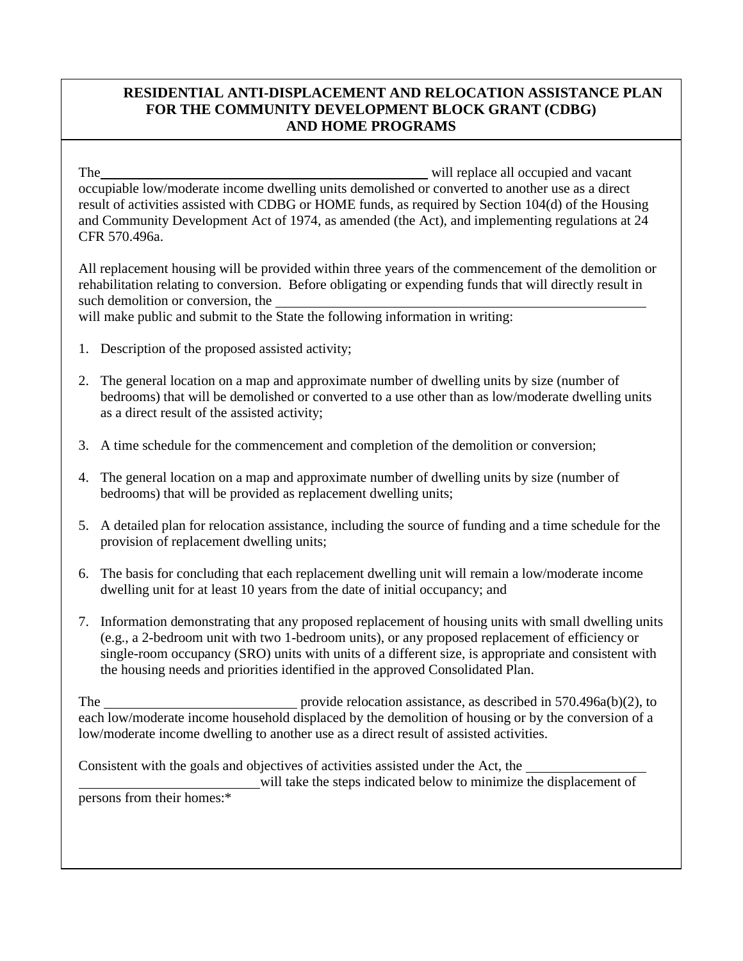## **RESIDENTIAL ANTI-DISPLACEMENT AND RELOCATION ASSISTANCE PLAN FOR THE COMMUNITY DEVELOPMENT BLOCK GRANT (CDBG) AND HOME PROGRAMS**

The will replace all occupied and vacant occupiable low/moderate income dwelling units demolished or converted to another use as a direct result of activities assisted with CDBG or HOME funds, as required by Section 104(d) of the Housing and Community Development Act of 1974, as amended (the Act), and implementing regulations at 24 CFR 570.496a.

All replacement housing will be provided within three years of the commencement of the demolition or rehabilitation relating to conversion. Before obligating or expending funds that will directly result in such demolition or conversion, the

will make public and submit to the State the following information in writing:

- 1. Description of the proposed assisted activity;
- 2. The general location on a map and approximate number of dwelling units by size (number of bedrooms) that will be demolished or converted to a use other than as low/moderate dwelling units as a direct result of the assisted activity;
- 3. A time schedule for the commencement and completion of the demolition or conversion;
- 4. The general location on a map and approximate number of dwelling units by size (number of bedrooms) that will be provided as replacement dwelling units;
- 5. A detailed plan for relocation assistance, including the source of funding and a time schedule for the provision of replacement dwelling units;
- 6. The basis for concluding that each replacement dwelling unit will remain a low/moderate income dwelling unit for at least 10 years from the date of initial occupancy; and
- 7. Information demonstrating that any proposed replacement of housing units with small dwelling units (e.g., a 2-bedroom unit with two 1-bedroom units), or any proposed replacement of efficiency or single-room occupancy (SRO) units with units of a different size, is appropriate and consistent with the housing needs and priorities identified in the approved Consolidated Plan.

The provide relocation assistance, as described in 570.496a(b)(2), to each low/moderate income household displaced by the demolition of housing or by the conversion of a low/moderate income dwelling to another use as a direct result of assisted activities.

Consistent with the goals and objectives of activities assisted under the Act, the

will take the steps indicated below to minimize the displacement of persons from their homes:\*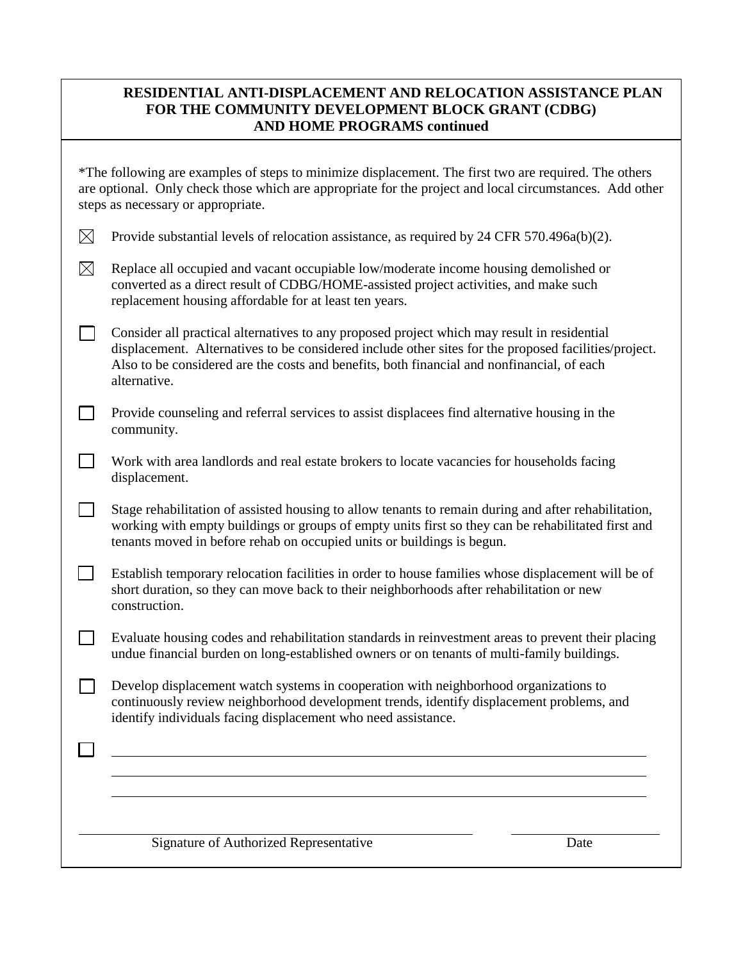## **RESIDENTIAL ANTI-DISPLACEMENT AND RELOCATION ASSISTANCE PLAN FOR THE COMMUNITY DEVELOPMENT BLOCK GRANT (CDBG) AND HOME PROGRAMS continued**

|             | *The following are examples of steps to minimize displacement. The first two are required. The others<br>are optional. Only check those which are appropriate for the project and local circumstances. Add other<br>steps as necessary or appropriate.                                                            |      |
|-------------|-------------------------------------------------------------------------------------------------------------------------------------------------------------------------------------------------------------------------------------------------------------------------------------------------------------------|------|
| $\boxtimes$ | Provide substantial levels of relocation assistance, as required by 24 CFR 570.496a(b)(2).                                                                                                                                                                                                                        |      |
| $\boxtimes$ | Replace all occupied and vacant occupiable low/moderate income housing demolished or<br>converted as a direct result of CDBG/HOME-assisted project activities, and make such<br>replacement housing affordable for at least ten years.                                                                            |      |
|             | Consider all practical alternatives to any proposed project which may result in residential<br>displacement. Alternatives to be considered include other sites for the proposed facilities/project.<br>Also to be considered are the costs and benefits, both financial and nonfinancial, of each<br>alternative. |      |
|             | Provide counseling and referral services to assist displacees find alternative housing in the<br>community.                                                                                                                                                                                                       |      |
|             | Work with area landlords and real estate brokers to locate vacancies for households facing<br>displacement.                                                                                                                                                                                                       |      |
|             | Stage rehabilitation of assisted housing to allow tenants to remain during and after rehabilitation,<br>working with empty buildings or groups of empty units first so they can be rehabilitated first and<br>tenants moved in before rehab on occupied units or buildings is begun.                              |      |
|             | Establish temporary relocation facilities in order to house families whose displacement will be of<br>short duration, so they can move back to their neighborhoods after rehabilitation or new<br>construction.                                                                                                   |      |
|             | Evaluate housing codes and rehabilitation standards in reinvestment areas to prevent their placing<br>undue financial burden on long-established owners or on tenants of multi-family buildings.                                                                                                                  |      |
|             | Develop displacement watch systems in cooperation with neighborhood organizations to<br>continuously review neighborhood development trends, identify displacement problems, and<br>identify individuals facing displacement who need assistance.                                                                 |      |
|             |                                                                                                                                                                                                                                                                                                                   |      |
|             |                                                                                                                                                                                                                                                                                                                   |      |
|             | Signature of Authorized Representative                                                                                                                                                                                                                                                                            | Date |
|             |                                                                                                                                                                                                                                                                                                                   |      |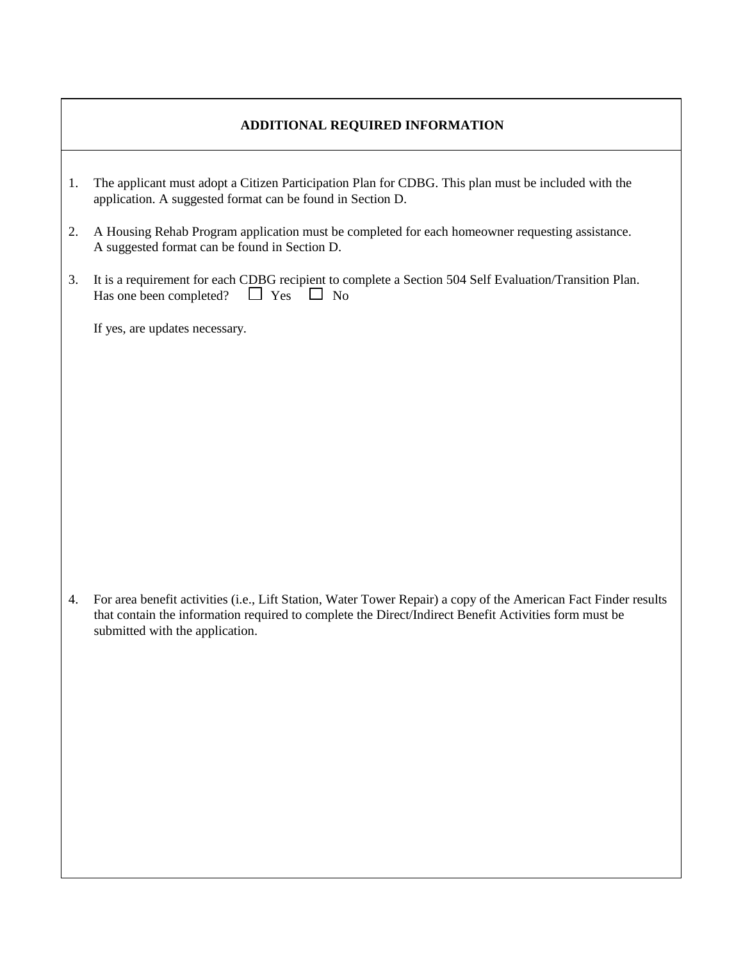#### **ADDITIONAL REQUIRED INFORMATION**

- 1. The applicant must adopt a Citizen Participation Plan for CDBG. This plan must be included with the application. A suggested format can be found in Section D.
- 2. A Housing Rehab Program application must be completed for each homeowner requesting assistance. A suggested format can be found in Section D.
- 3. It is a requirement for each CDBG recipient to complete a Section 504 Self Evaluation/Transition Plan.<br>Has one been completed?  $\Box$  Yes  $\Box$  No Has one been completed?

If yes, are updates necessary.

4. For area benefit activities (i.e., Lift Station, Water Tower Repair) a copy of the American Fact Finder results that contain the information required to complete the Direct/Indirect Benefit Activities form must be submitted with the application.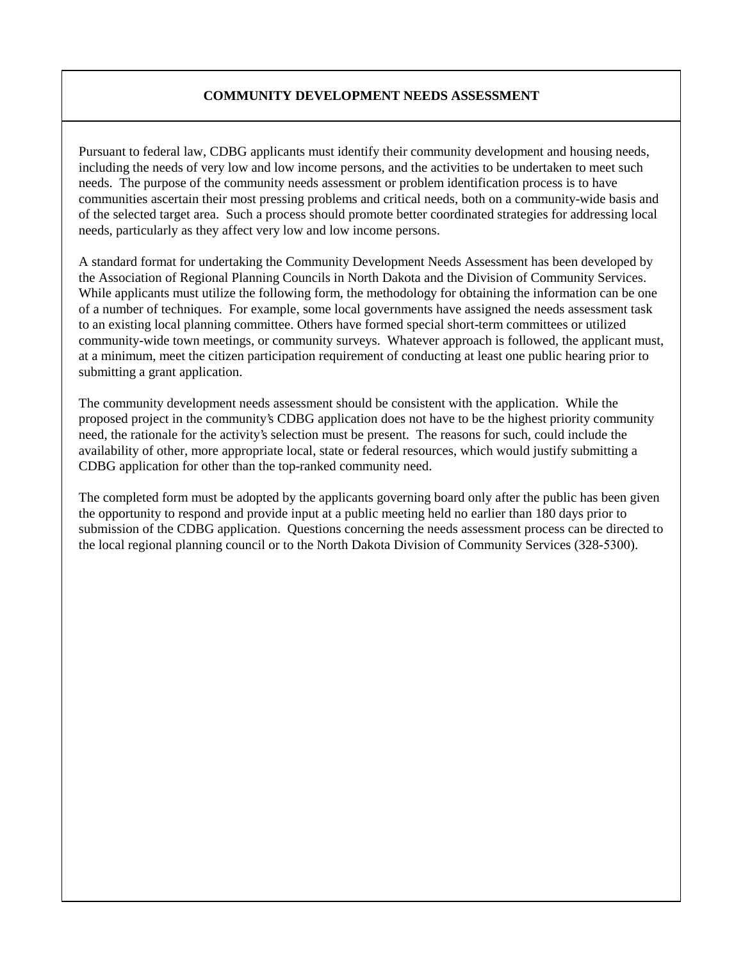#### **COMMUNITY DEVELOPMENT NEEDS ASSESSMENT**

Pursuant to federal law, CDBG applicants must identify their community development and housing needs, including the needs of very low and low income persons, and the activities to be undertaken to meet such needs. The purpose of the community needs assessment or problem identification process is to have communities ascertain their most pressing problems and critical needs, both on a community-wide basis and of the selected target area. Such a process should promote better coordinated strategies for addressing local needs, particularly as they affect very low and low income persons.

A standard format for undertaking the Community Development Needs Assessment has been developed by the Association of Regional Planning Councils in North Dakota and the Division of Community Services. While applicants must utilize the following form, the methodology for obtaining the information can be one of a number of techniques. For example, some local governments have assigned the needs assessment task to an existing local planning committee. Others have formed special short-term committees or utilized community-wide town meetings, or community surveys. Whatever approach is followed, the applicant must, at a minimum, meet the citizen participation requirement of conducting at least one public hearing prior to submitting a grant application.

The community development needs assessment should be consistent with the application. While the proposed project in the community's CDBG application does not have to be the highest priority community need, the rationale for the activity's selection must be present. The reasons for such, could include the availability of other, more appropriate local, state or federal resources, which would justify submitting a CDBG application for other than the top-ranked community need.

The completed form must be adopted by the applicants governing board only after the public has been given the opportunity to respond and provide input at a public meeting held no earlier than 180 days prior to submission of the CDBG application. Questions concerning the needs assessment process can be directed to the local regional planning council or to the North Dakota Division of Community Services (328-5300).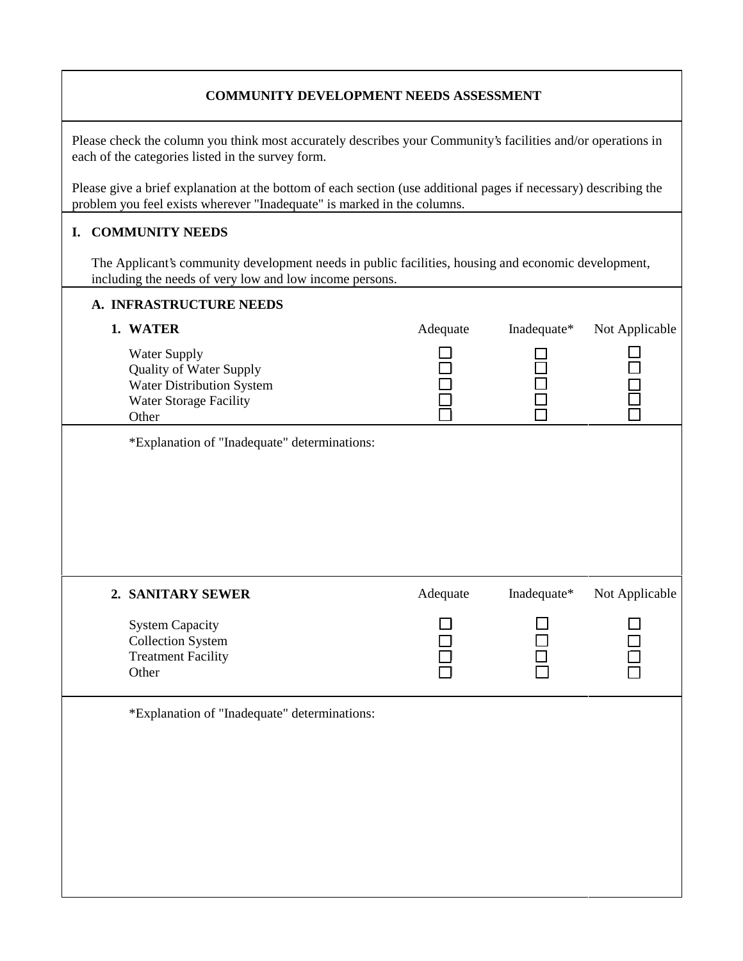#### **COMMUNITY DEVELOPMENT NEEDS ASSESSMENT**

Please check the column you think most accurately describes your Community's facilities and/or operations in each of the categories listed in the survey form.

Please give a brief explanation at the bottom of each section (use additional pages if necessary) describing the problem you feel exists wherever "Inadequate" is marked in the columns.

#### **I. COMMUNITY NEEDS**

The Applicant's community development needs in public facilities, housing and economic development, including the needs of very low and low income persons.

| A. INFRASTRUCTURE NEEDS                                                                                        |          |             |                |
|----------------------------------------------------------------------------------------------------------------|----------|-------------|----------------|
| 1. WATER                                                                                                       | Adequate | Inadequate* | Not Applicable |
| Water Supply<br><b>Quality of Water Supply</b><br>Water Distribution System<br>Water Storage Facility<br>Other |          |             |                |
| *Explanation of "Inadequate" determinations:                                                                   |          |             |                |
|                                                                                                                |          |             |                |
| 2. SANITARY SEWER                                                                                              | Adequate | Inadequate* | Not Applicable |
| <b>System Capacity</b><br><b>Collection System</b><br><b>Treatment Facility</b><br>Other                       |          |             |                |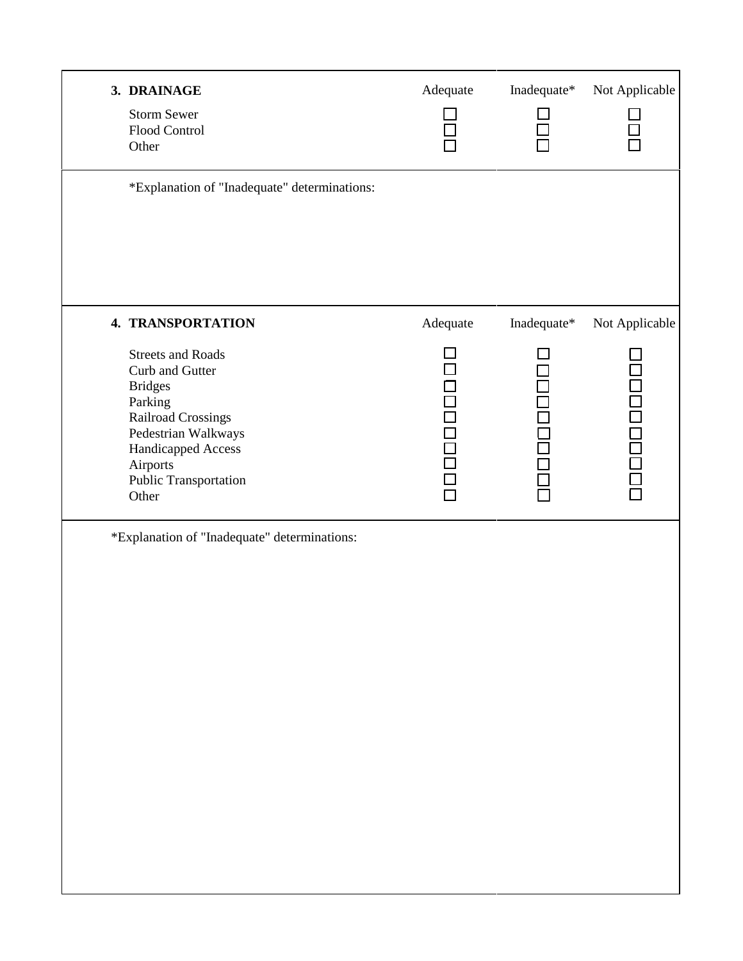| 3. DRAINAGE<br><b>Storm Sewer</b><br>Flood Control<br>Other                                                                                                                               | Adequate        | Inadequate*           | Not Applicable |
|-------------------------------------------------------------------------------------------------------------------------------------------------------------------------------------------|-----------------|-----------------------|----------------|
| *Explanation of "Inadequate" determinations:                                                                                                                                              |                 |                       |                |
| 4. TRANSPORTATION                                                                                                                                                                         | Adequate        | Inadequate*           | Not Applicable |
| <b>Streets and Roads</b><br>Curb and Gutter<br><b>Bridges</b><br>Parking<br>Railroad Crossings<br>Pedestrian Walkways<br>Handicapped Access<br>Airports<br>Public Transportation<br>Other | <b>DOODOODO</b> | n<br>A<br>A<br>A<br>A | 10000000       |
| *Explanation of "Inadequate" determinations:                                                                                                                                              |                 |                       |                |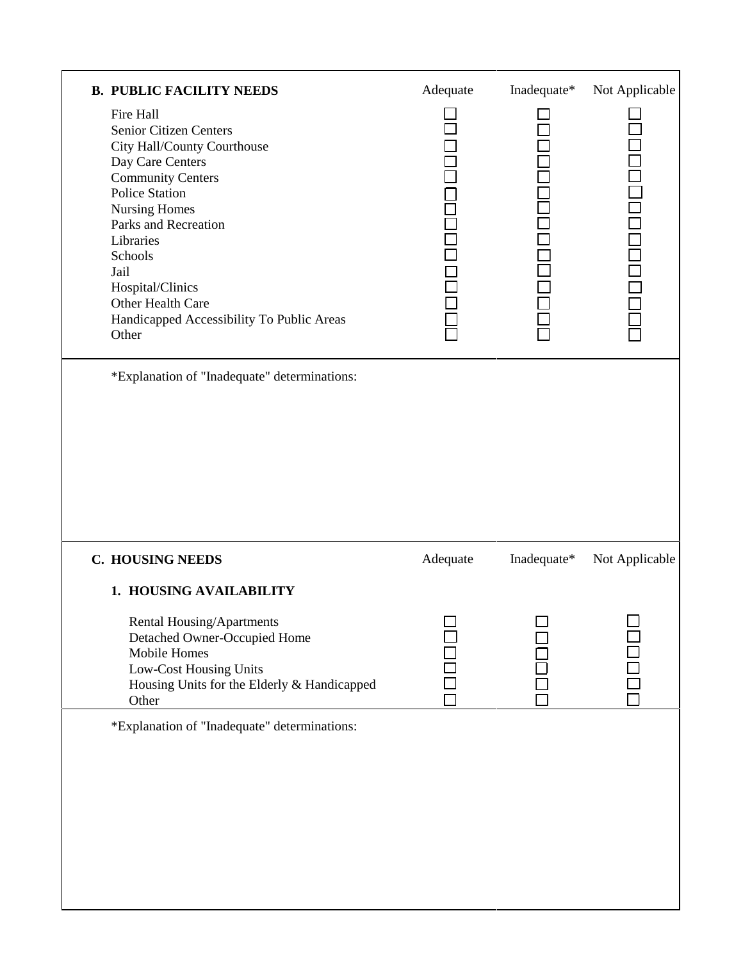| <b>B. PUBLIC FACILITY NEEDS</b>                                                                                                                                                                                                                                                                                            | Adequate | Inadequate* | Not Applicable |
|----------------------------------------------------------------------------------------------------------------------------------------------------------------------------------------------------------------------------------------------------------------------------------------------------------------------------|----------|-------------|----------------|
| Fire Hall<br>Senior Citizen Centers<br>City Hall/County Courthouse<br>Day Care Centers<br><b>Community Centers</b><br><b>Police Station</b><br><b>Nursing Homes</b><br>Parks and Recreation<br>Libraries<br>Schools<br>Jail<br>Hospital/Clinics<br>Other Health Care<br>Handicapped Accessibility To Public Areas<br>Other |          |             |                |
| *Explanation of "Inadequate" determinations:                                                                                                                                                                                                                                                                               |          |             |                |
|                                                                                                                                                                                                                                                                                                                            |          |             |                |
| <b>C. HOUSING NEEDS</b>                                                                                                                                                                                                                                                                                                    | Adequate | Inadequate* | Not Applicable |
| 1. HOUSING AVAILABILITY                                                                                                                                                                                                                                                                                                    |          |             |                |
| Rental Housing/Apartments<br>Detached Owner-Occupied Home<br>Mobile Homes<br>Low-Cost Housing Units<br>Housing Units for the Elderly & Handicapped                                                                                                                                                                         | ┍        | $\Box$      |                |
| Other<br>*Explanation of "Inadequate" determinations:                                                                                                                                                                                                                                                                      |          |             |                |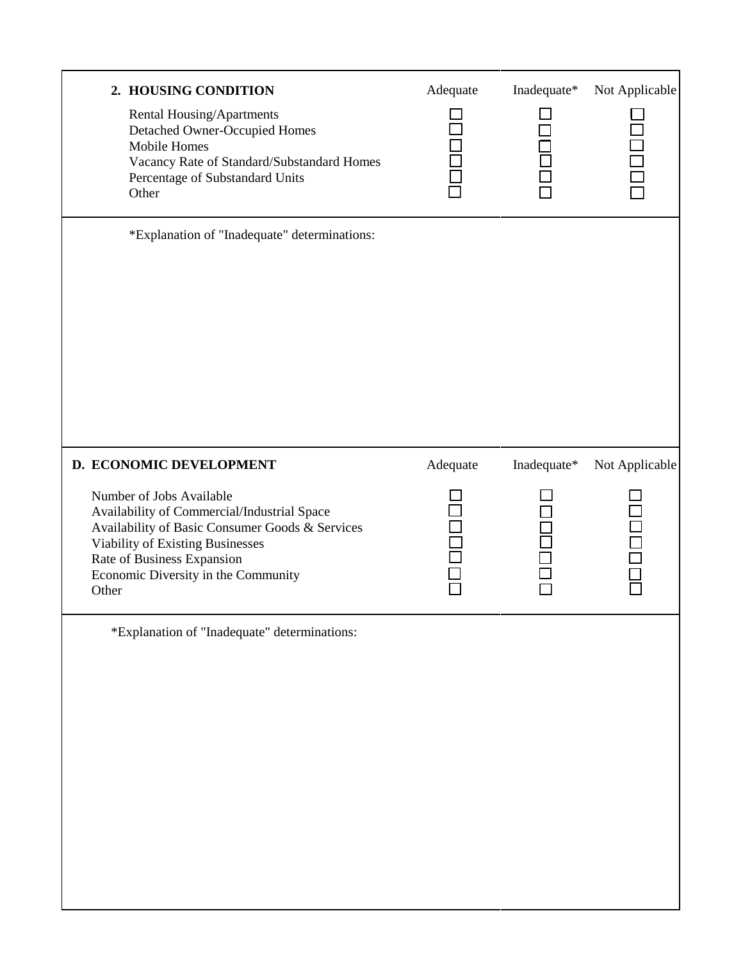| 2. HOUSING CONDITION<br>Rental Housing/Apartments<br>Detached Owner-Occupied Homes<br>Mobile Homes<br>Vacancy Rate of Standard/Substandard Homes<br>Percentage of Substandard Units<br>Other                                                                            | Adequate | Inadequate* | Not Applicable                 |
|-------------------------------------------------------------------------------------------------------------------------------------------------------------------------------------------------------------------------------------------------------------------------|----------|-------------|--------------------------------|
| *Explanation of "Inadequate" determinations:                                                                                                                                                                                                                            |          |             |                                |
| D. ECONOMIC DEVELOPMENT<br>Number of Jobs Available<br>Availability of Commercial/Industrial Space<br>Availability of Basic Consumer Goods & Services<br>Viability of Existing Businesses<br>Rate of Business Expansion<br>Economic Diversity in the Community<br>Other | Adequate | Inadequate* | Not Applicable<br>ioon<br>Food |
| *Explanation of "Inadequate" determinations:                                                                                                                                                                                                                            |          |             |                                |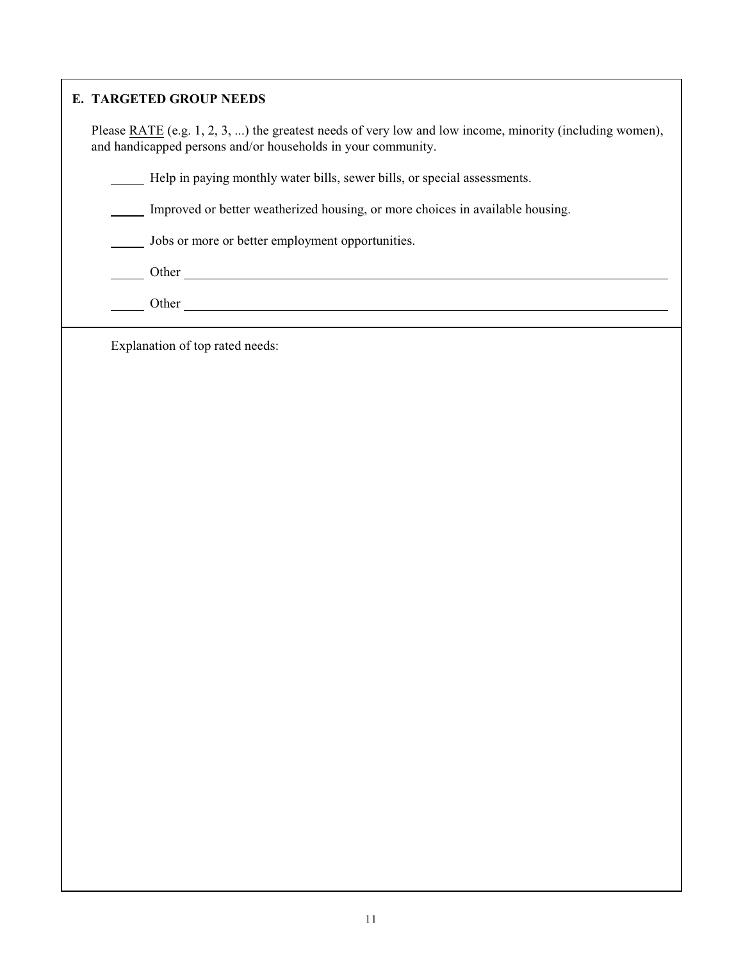#### **E. TARGETED GROUP NEEDS**

Please RATE (e.g. 1, 2, 3, ...) the greatest needs of very low and low income, minority (including women), and handicapped persons and/or households in your community.

Help in paying monthly water bills, sewer bills, or special assessments.

Improved or better weatherized housing, or more choices in available housing.

Jobs or more or better employment opportunities.

Other contract of the contract of the contract of the contract of the contract of the contract of the contract of the contract of the contract of the contract of the contract of the contract of the contract of the contract

Other Contract of the Contract of the Contract of the Contract of the Contract of the Contract of the Contract of the Contract of the Contract of the Contract of the Contract of the Contract of the Contract of the Contract

Explanation of top rated needs: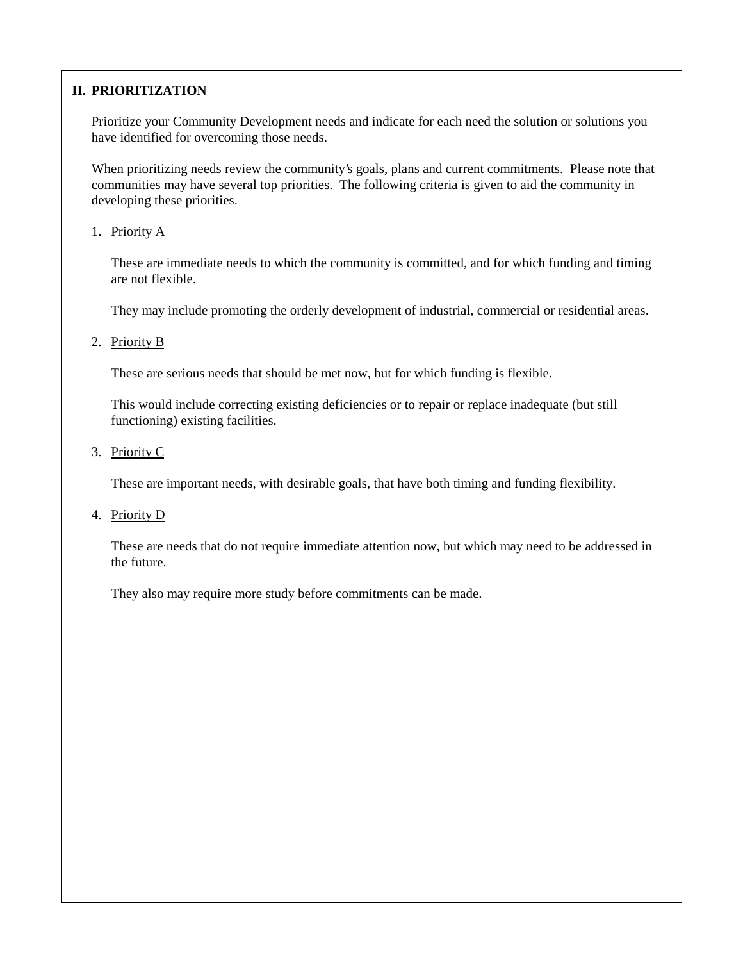## **II. PRIORITIZATION**

Prioritize your Community Development needs and indicate for each need the solution or solutions you have identified for overcoming those needs.

When prioritizing needs review the community's goals, plans and current commitments. Please note that communities may have several top priorities. The following criteria is given to aid the community in developing these priorities.

#### 1. Priority A

These are immediate needs to which the community is committed, and for which funding and timing are not flexible.

They may include promoting the orderly development of industrial, commercial or residential areas.

#### 2. Priority B

These are serious needs that should be met now, but for which funding is flexible.

This would include correcting existing deficiencies or to repair or replace inadequate (but still functioning) existing facilities.

3. Priority C

These are important needs, with desirable goals, that have both timing and funding flexibility.

4. Priority D

These are needs that do not require immediate attention now, but which may need to be addressed in the future.

They also may require more study before commitments can be made.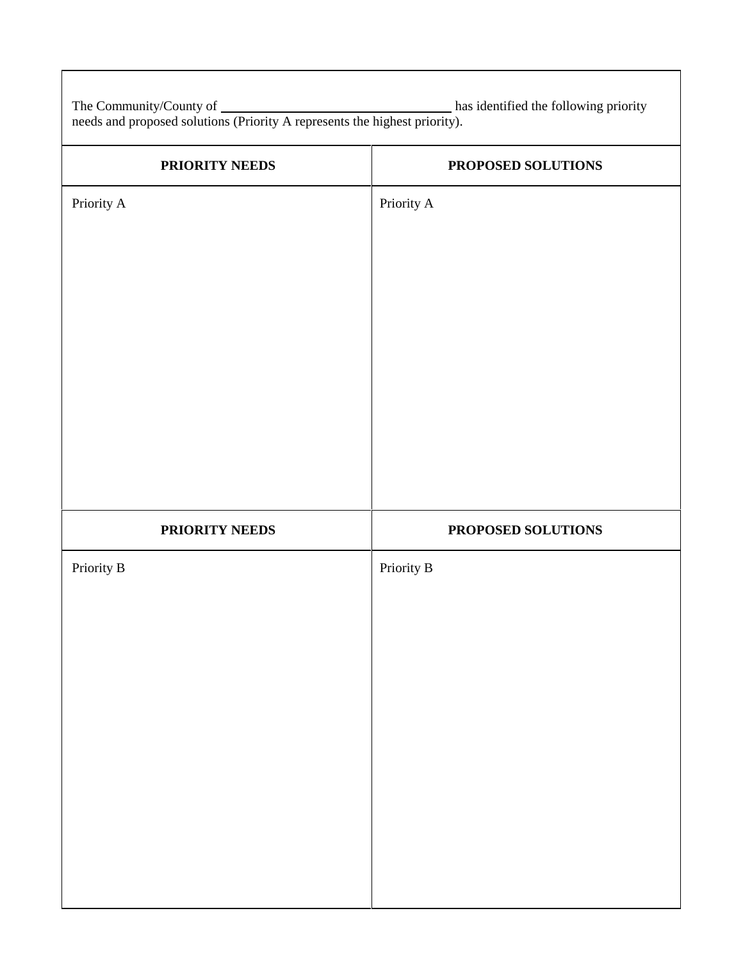The Community/County of has identified the following priority needs and proposed solutions (Priority A represents the highest priority).

| PRIORITY NEEDS | PROPOSED SOLUTIONS |
|----------------|--------------------|
| Priority A     | Priority A         |
|                |                    |
|                |                    |
|                |                    |
|                |                    |
|                |                    |
|                |                    |
|                |                    |
|                |                    |
| PRIORITY NEEDS | PROPOSED SOLUTIONS |
| Priority B     | Priority B         |
|                |                    |
|                |                    |
|                |                    |
|                |                    |
|                |                    |
|                |                    |
|                |                    |
|                |                    |
|                |                    |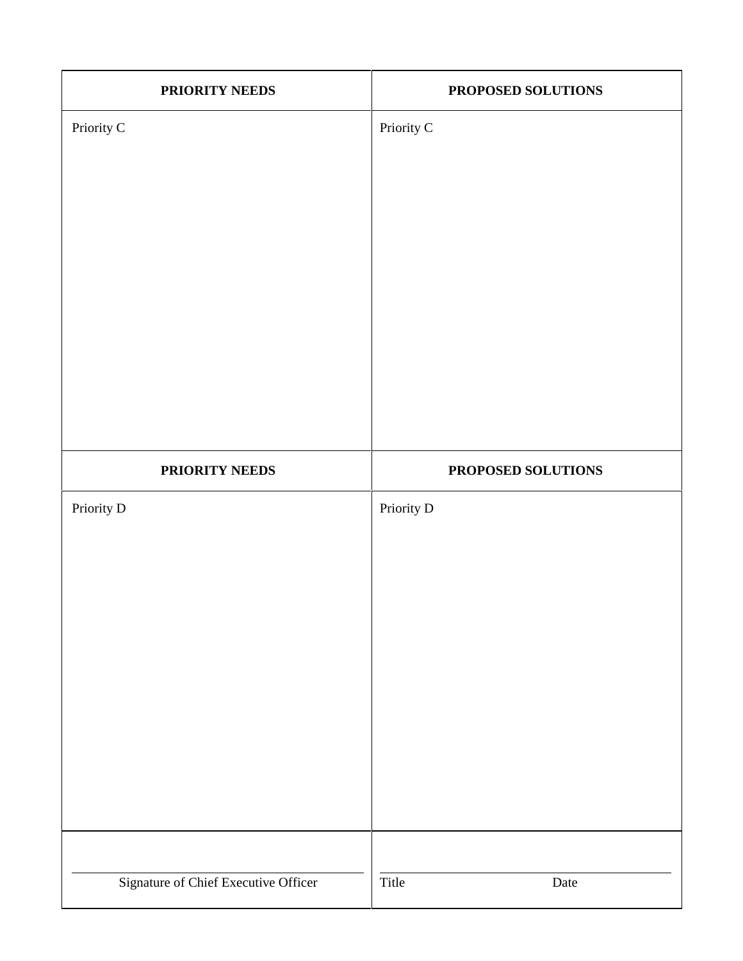| PRIORITY NEEDS                       | PROPOSED SOLUTIONS |
|--------------------------------------|--------------------|
| Priority C                           | Priority C         |
|                                      |                    |
| PRIORITY NEEDS                       | PROPOSED SOLUTIONS |
| Priority D                           | Priority D         |
| Signature of Chief Executive Officer | Title<br>Date      |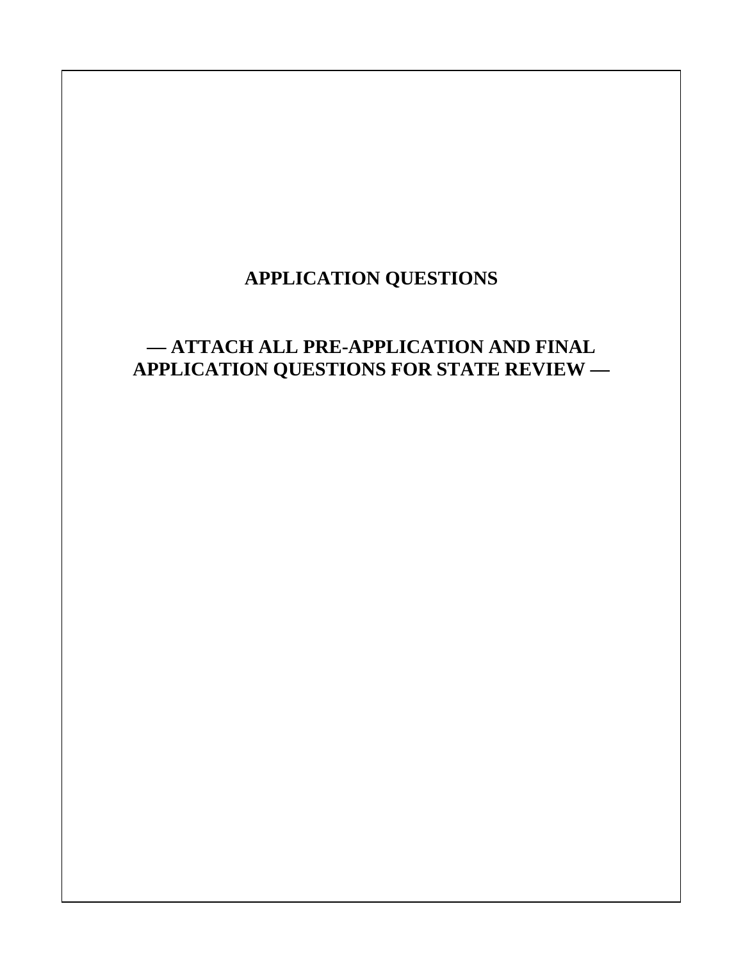## **APPLICATION QUESTIONS**

## **— ATTACH ALL PRE-APPLICATION AND FINAL APPLICATION QUESTIONS FOR STATE REVIEW —**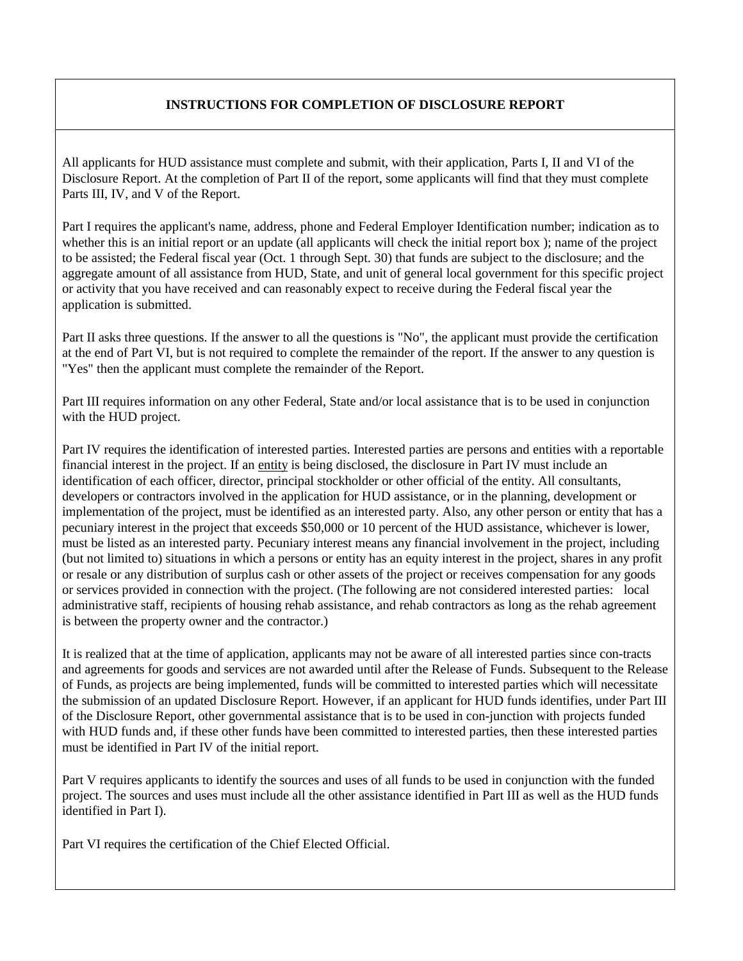#### **INSTRUCTIONS FOR COMPLETION OF DISCLOSURE REPORT**

All applicants for HUD assistance must complete and submit, with their application, Parts I, II and VI of the Disclosure Report. At the completion of Part II of the report, some applicants will find that they must complete Parts III, IV, and V of the Report.

Part I requires the applicant's name, address, phone and Federal Employer Identification number; indication as to whether this is an initial report or an update (all applicants will check the initial report box); name of the project to be assisted; the Federal fiscal year (Oct. 1 through Sept. 30) that funds are subject to the disclosure; and the aggregate amount of all assistance from HUD, State, and unit of general local government for this specific project or activity that you have received and can reasonably expect to receive during the Federal fiscal year the application is submitted.

Part II asks three questions. If the answer to all the questions is "No", the applicant must provide the certification at the end of Part VI, but is not required to complete the remainder of the report. If the answer to any question is "Yes" then the applicant must complete the remainder of the Report.

Part III requires information on any other Federal, State and/or local assistance that is to be used in conjunction with the HUD project.

Part IV requires the identification of interested parties. Interested parties are persons and entities with a reportable financial interest in the project. If an entity is being disclosed, the disclosure in Part IV must include an identification of each officer, director, principal stockholder or other official of the entity. All consultants, developers or contractors involved in the application for HUD assistance, or in the planning, development or implementation of the project, must be identified as an interested party. Also, any other person or entity that has a pecuniary interest in the project that exceeds \$50,000 or 10 percent of the HUD assistance, whichever is lower, must be listed as an interested party. Pecuniary interest means any financial involvement in the project, including (but not limited to) situations in which a persons or entity has an equity interest in the project, shares in any profit or resale or any distribution of surplus cash or other assets of the project or receives compensation for any goods or services provided in connection with the project. (The following are not considered interested parties: local administrative staff, recipients of housing rehab assistance, and rehab contractors as long as the rehab agreement is between the property owner and the contractor.)

It is realized that at the time of application, applicants may not be aware of all interested parties since con-tracts and agreements for goods and services are not awarded until after the Release of Funds. Subsequent to the Release of Funds, as projects are being implemented, funds will be committed to interested parties which will necessitate the submission of an updated Disclosure Report. However, if an applicant for HUD funds identifies, under Part III of the Disclosure Report, other governmental assistance that is to be used in con-junction with projects funded with HUD funds and, if these other funds have been committed to interested parties, then these interested parties must be identified in Part IV of the initial report.

Part V requires applicants to identify the sources and uses of all funds to be used in conjunction with the funded project. The sources and uses must include all the other assistance identified in Part III as well as the HUD funds identified in Part I).

Part VI requires the certification of the Chief Elected Official.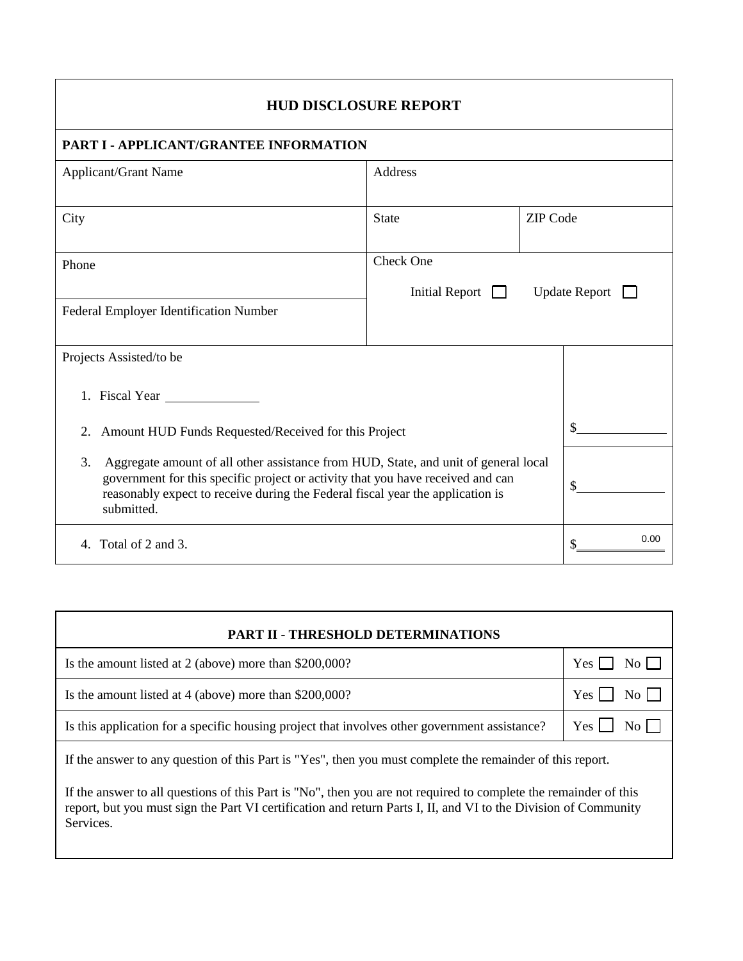| <b>HUD DISCLOSURE REPORT</b>                                                                                                                                                                                                                                                 |                       |                 |                      |
|------------------------------------------------------------------------------------------------------------------------------------------------------------------------------------------------------------------------------------------------------------------------------|-----------------------|-----------------|----------------------|
| PART I - APPLICANT/GRANTEE INFORMATION                                                                                                                                                                                                                                       |                       |                 |                      |
| <b>Applicant/Grant Name</b>                                                                                                                                                                                                                                                  | <b>Address</b>        |                 |                      |
| City                                                                                                                                                                                                                                                                         | <b>State</b>          | <b>ZIP</b> Code |                      |
| Phone                                                                                                                                                                                                                                                                        | <b>Check One</b>      |                 |                      |
| Federal Employer Identification Number                                                                                                                                                                                                                                       | <b>Initial Report</b> |                 | <b>Update Report</b> |
| Projects Assisted/to be                                                                                                                                                                                                                                                      |                       |                 |                      |
| 1. Fiscal Year                                                                                                                                                                                                                                                               |                       |                 |                      |
| Amount HUD Funds Requested/Received for this Project<br>2.                                                                                                                                                                                                                   |                       |                 |                      |
| 3.<br>Aggregate amount of all other assistance from HUD, State, and unit of general local<br>government for this specific project or activity that you have received and can<br>reasonably expect to receive during the Federal fiscal year the application is<br>submitted. |                       |                 | \$                   |
| Total of 2 and 3.<br>$\mathbf{4}$ .                                                                                                                                                                                                                                          |                       |                 | 0.00                 |

| PART II - THRESHOLD DETERMINATIONS                                                                                                                                                                                                               |            |
|--------------------------------------------------------------------------------------------------------------------------------------------------------------------------------------------------------------------------------------------------|------------|
| Is the amount listed at 2 (above) more than \$200,000?                                                                                                                                                                                           | Yes        |
| Is the amount listed at 4 (above) more than \$200,000?                                                                                                                                                                                           | Yes        |
| Is this application for a specific housing project that involves other government assistance?                                                                                                                                                    | Yes<br>No. |
| If the answer to any question of this Part is "Yes", then you must complete the remainder of this report.                                                                                                                                        |            |
| If the answer to all questions of this Part is "No", then you are not required to complete the remainder of this<br>report, but you must sign the Part VI certification and return Parts I, II, and VI to the Division of Community<br>Services. |            |

I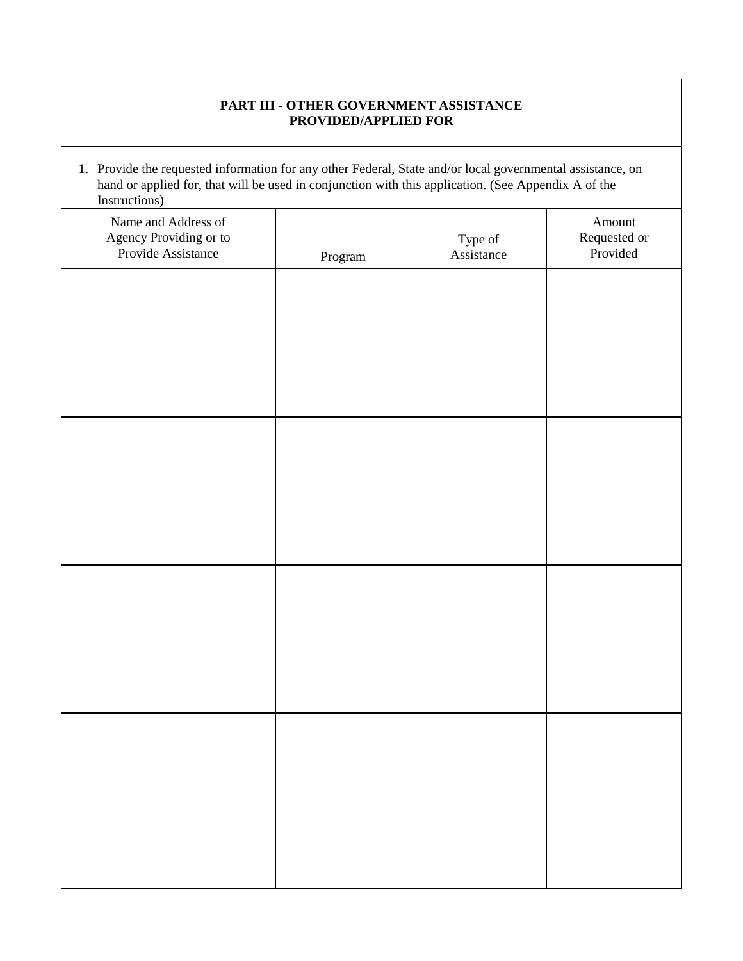#### **PART III - OTHER GOVERNMENT ASSISTANCE PROVIDED/APPLIED FOR**

1. Provide the requested information for any other Federal, State and/or local governmental assistance, on hand or applied for, that will be used in conjunction with this application. (See Appendix A of the Instructions)

| Name and Address of<br>Agency Providing or to<br>Provide Assistance | ${\bf Program}$ | Type of<br>Assistance | Amount<br>Requested or<br>Provided |
|---------------------------------------------------------------------|-----------------|-----------------------|------------------------------------|
|                                                                     |                 |                       |                                    |
|                                                                     |                 |                       |                                    |
|                                                                     |                 |                       |                                    |
|                                                                     |                 |                       |                                    |
|                                                                     |                 |                       |                                    |
|                                                                     |                 |                       |                                    |
|                                                                     |                 |                       |                                    |
|                                                                     |                 |                       |                                    |
|                                                                     |                 |                       |                                    |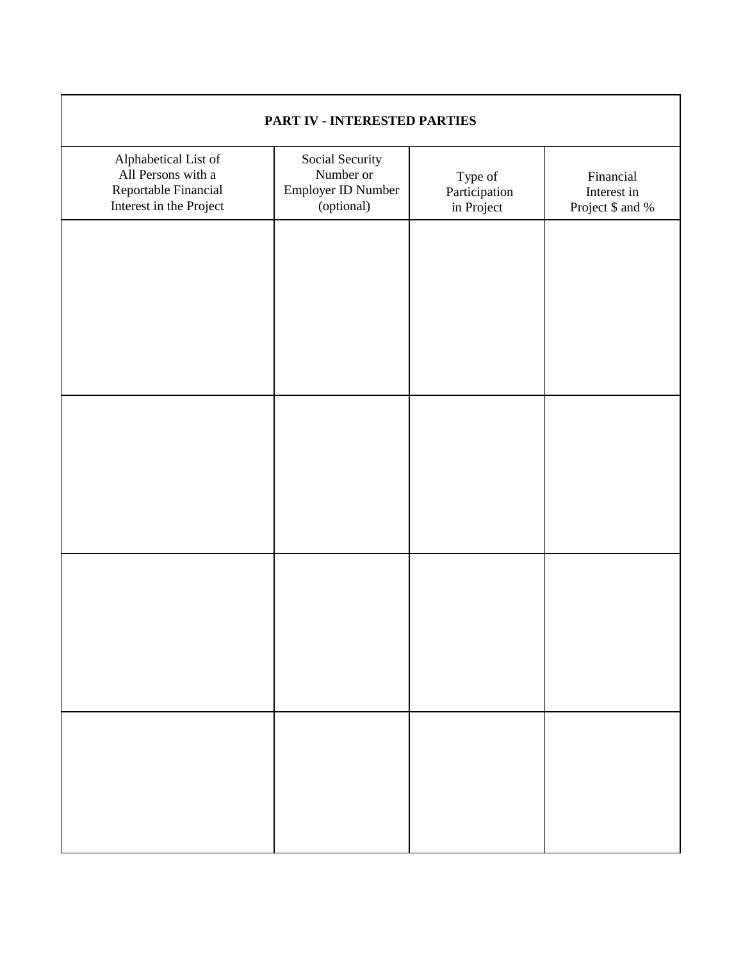| PART IV - INTERESTED PARTIES                                                                  |                                                                  |                                        |                                              |  |
|-----------------------------------------------------------------------------------------------|------------------------------------------------------------------|----------------------------------------|----------------------------------------------|--|
| Alphabetical List of<br>All Persons with a<br>Reportable Financial<br>Interest in the Project | Social Security<br>Number or<br>Employer ID Number<br>(optional) | Type of<br>Participation<br>in Project | Financial<br>Interest in<br>Project \$ and % |  |
|                                                                                               |                                                                  |                                        |                                              |  |
|                                                                                               |                                                                  |                                        |                                              |  |
|                                                                                               |                                                                  |                                        |                                              |  |
|                                                                                               |                                                                  |                                        |                                              |  |
|                                                                                               |                                                                  |                                        |                                              |  |
|                                                                                               |                                                                  |                                        |                                              |  |
|                                                                                               |                                                                  |                                        |                                              |  |
|                                                                                               |                                                                  |                                        |                                              |  |
|                                                                                               |                                                                  |                                        |                                              |  |
|                                                                                               |                                                                  |                                        |                                              |  |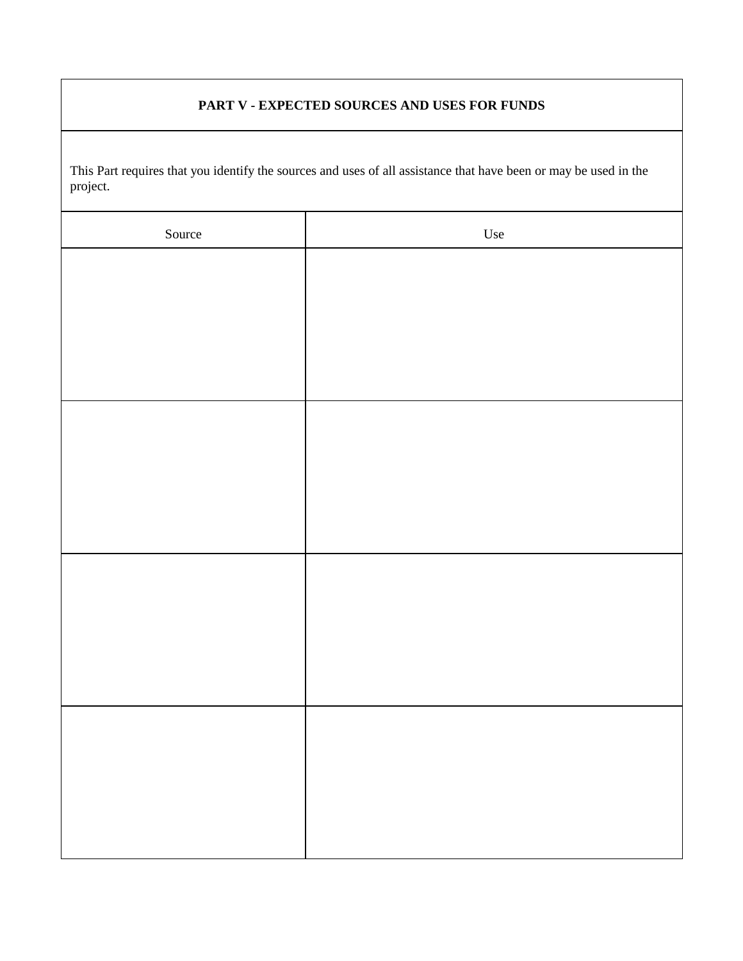#### **PART V - EXPECTED SOURCES AND USES FOR FUNDS**

This Part requires that you identify the sources and uses of all assistance that have been or may be used in the project.

| Source | Use |
|--------|-----|
|        |     |
|        |     |
|        |     |
|        |     |
|        |     |
|        |     |
|        |     |
|        |     |
|        |     |
|        |     |
|        |     |
|        |     |
|        |     |
|        |     |
|        |     |
|        |     |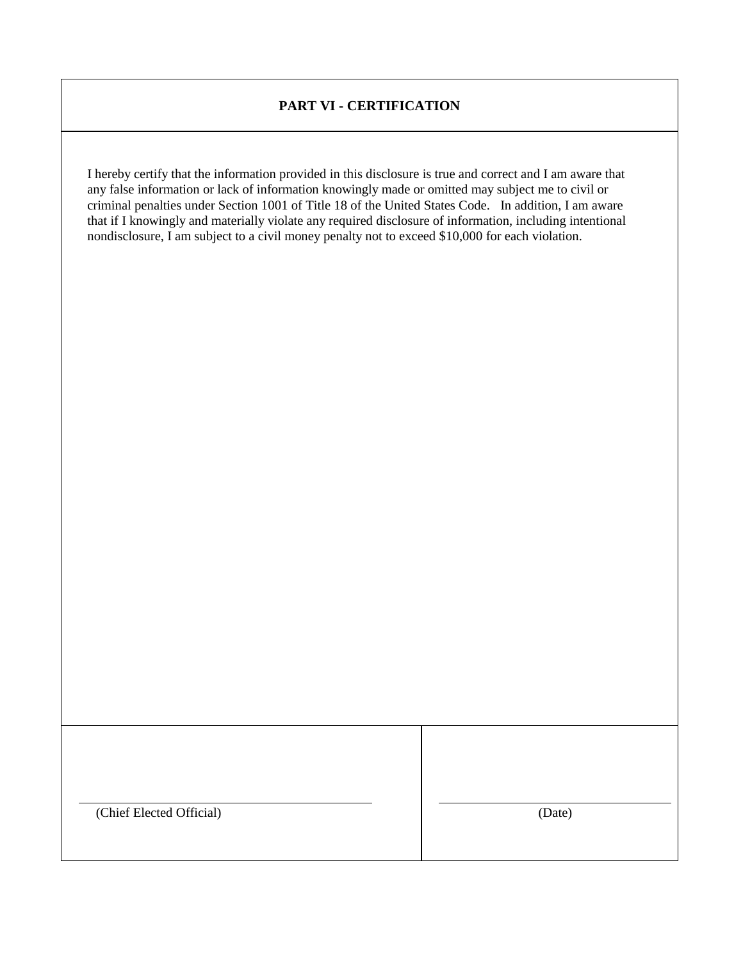#### **PART VI - CERTIFICATION**

I hereby certify that the information provided in this disclosure is true and correct and I am aware that any false information or lack of information knowingly made or omitted may subject me to civil or criminal penalties under Section 1001 of Title 18 of the United States Code. In addition, I am aware that if I knowingly and materially violate any required disclosure of information, including intentional nondisclosure, I am subject to a civil money penalty not to exceed \$10,000 for each violation.

(Chief Elected Official)

(Date)